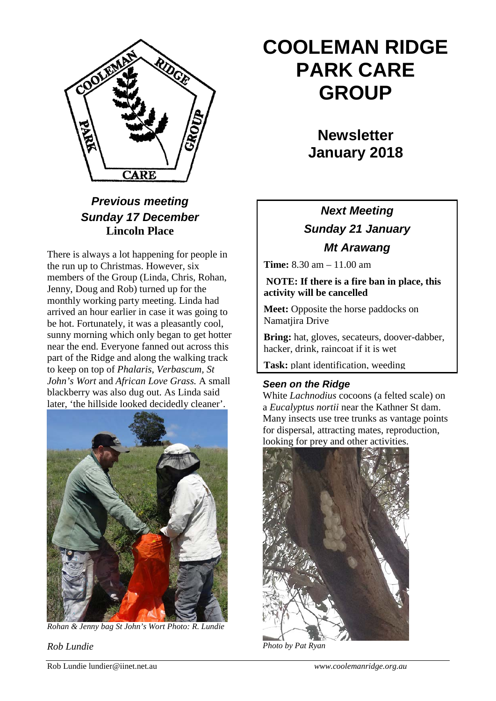

### *Previous meeting Sunday 17 December* **Lincoln Place**

There is always a lot happening for people in the run up to Christmas. However, six members of the Group (Linda, Chris, Rohan, Jenny, Doug and Rob) turned up for the monthly working party meeting. Linda had arrived an hour earlier in case it was going to be hot. Fortunately, it was a pleasantly cool, sunny morning which only began to get hotter near the end. Everyone fanned out across this part of the Ridge and along the walking track to keep on top of *Phalaris*, *Verbascum, St John's Wort* and *African Love Grass.* A small blackberry was also dug out. As Linda said later, 'the hillside looked decidedly cleaner'.



*Rohan & Jenny bag St John's Wort Photo: R. Lundie*

*Rob Lundie*

# **COOLEMAN RIDGE PARK CARE GROUP**

**Newsletter January 2018** 

## *Next Meeting Sunday 21 January Mt Arawang*

**Time:** 8.30 am – 11.00 am

#### **NOTE: If there is a fire ban in place, this activity will be cancelled**

**Meet:** Opposite the horse paddocks on Namatjira Drive

**Bring:** hat, gloves, secateurs, doover-dabber, hacker, drink, raincoat if it is wet

**Task:** plant identification, weeding

#### *Seen on the Ridge*

White *Lachnodius* cocoons (a felted scale) on a *Eucalyptus nortii* near the Kathner St dam. Many insects use tree trunks as vantage points for dispersal, attracting mates, reproduction, looking for prey and other activities.



Rob Lundie lundier@iinet.net.au *www.coolemanridge.org.au*